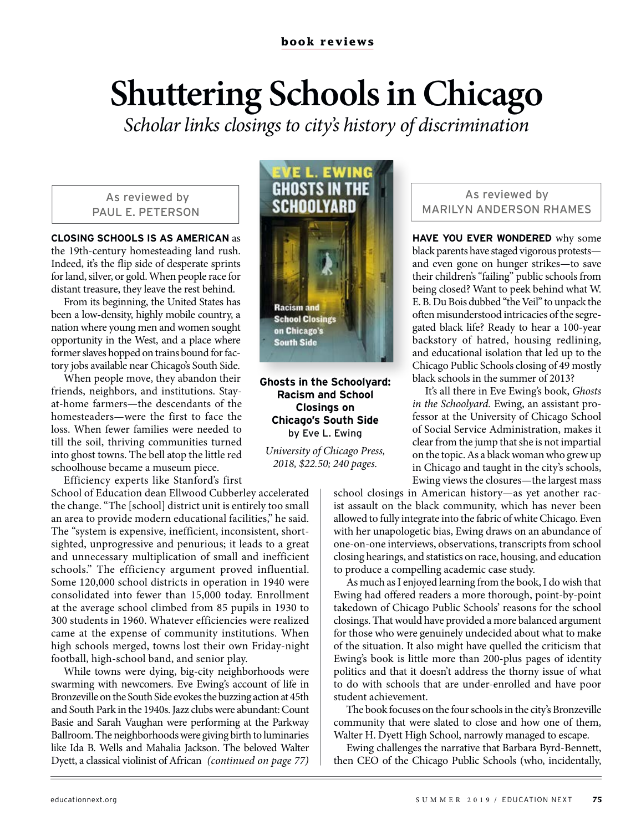## **Shuttering Schools in Chicago**

*Scholar links closings to city's history of discrimination*

## As reviewed by PAUL E. PETERSON

**CLOSING SCHOOLS IS AS AMERICAN** as the 19th-century homesteading land rush. Indeed, it's the flip side of desperate sprints for land, silver, or gold. When people race for distant treasure, they leave the rest behind.

From its beginning, the United States has been a low-density, highly mobile country, a nation where young men and women sought opportunity in the West, and a place where former slaves hopped on trains bound for factory jobs available near Chicago's South Side.

When people move, they abandon their friends, neighbors, and institutions. Stayat-home farmers—the descendants of the homesteaders—were the first to face the loss. When fewer families were needed to till the soil, thriving communities turned into ghost towns. The bell atop the little red schoolhouse became a museum piece.

Efficiency experts like Stanford's first

## School of Education dean Ellwood Cubberley accelerated the change. "The [school] district unit is entirely too small an area to provide modern educational facilities," he said. The "system is expensive, inefficient, inconsistent, shortsighted, unprogressive and penurious; it leads to a great and unnecessary multiplication of small and inefficient schools." The efficiency argument proved influential. Some 120,000 school districts in operation in 1940 were consolidated into fewer than 15,000 today. Enrollment at the average school climbed from 85 pupils in 1930 to 300 students in 1960. Whatever efficiencies were realized came at the expense of community institutions. When high schools merged, towns lost their own Friday-night football, high-school band, and senior play.

While towns were dying, big-city neighborhoods were swarming with newcomers. Eve Ewing's account of life in Bronzeville on the South Side evokes the buzzing action at 45th and South Park in the 1940s. Jazz clubs were abundant: Count Basie and Sarah Vaughan were performing at the Parkway Ballroom. The neighborhoods were giving birth to luminaries like Ida B. Wells and Mahalia Jackson. The beloved Walter Dyett, a classical violinist of African *(continued on page 77)*



**Ghosts in the Schoolyard: Racism and School Closings on Chicago's South Side**  by Eve L. Ewing

*University of Chicago Press, 2018, \$22.50; 240 pages.* 

## As reviewed by MARILYN ANDERSON RHAMES

**HAVE YOU EVER WONDERED** why some black parents have staged vigorous protests and even gone on hunger strikes—to save their children's "failing" public schools from being closed? Want to peek behind what W. E. B. Du Bois dubbed "the Veil" to unpack the often misunderstood intricacies of the segregated black life? Ready to hear a 100-year backstory of hatred, housing redlining, and educational isolation that led up to the Chicago Public Schools closing of 49 mostly black schools in the summer of 2013?

It's all there in Eve Ewing's book, *Ghosts in the Schoolyard.* Ewing, an assistant professor at the University of Chicago School of Social Service Administration, makes it clear from the jump that she is not impartial on the topic. As a black woman who grew up in Chicago and taught in the city's schools, Ewing views the closures—the largest mass

school closings in American history—as yet another racist assault on the black community, which has never been allowed to fully integrate into the fabric of white Chicago. Even with her unapologetic bias, Ewing draws on an abundance of one-on-one interviews, observations, transcripts from school closing hearings, and statistics on race, housing, and education to produce a compelling academic case study.

As much as I enjoyed learning from the book, I do wish that Ewing had offered readers a more thorough, point-by-point takedown of Chicago Public Schools' reasons for the school closings. That would have provided a more balanced argument for those who were genuinely undecided about what to make of the situation. It also might have quelled the criticism that Ewing's book is little more than 200-plus pages of identity politics and that it doesn't address the thorny issue of what to do with schools that are under-enrolled and have poor student achievement.

The book focuses on the four schools in the city's Bronzeville community that were slated to close and how one of them, Walter H. Dyett High School, narrowly managed to escape.

Ewing challenges the narrative that Barbara Byrd-Bennett, then CEO of the Chicago Public Schools (who, incidentally,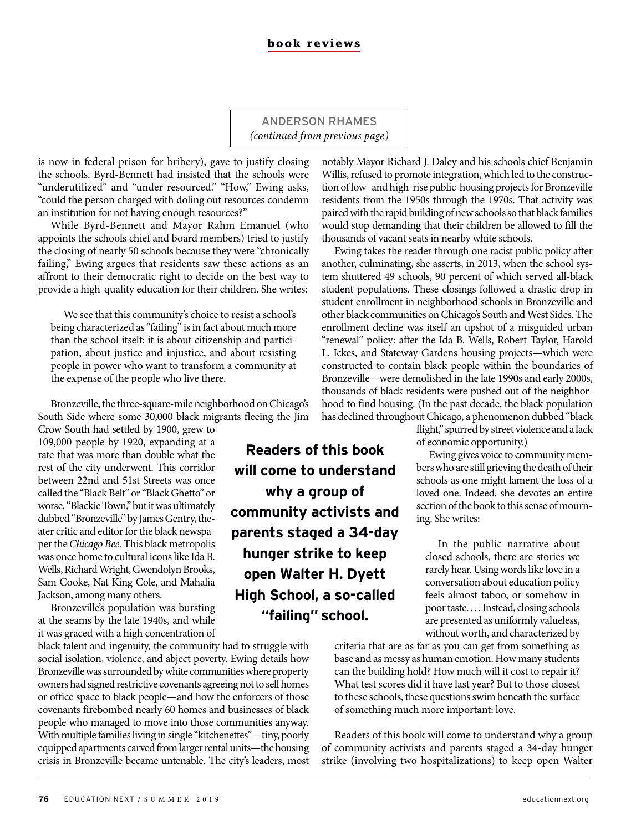ANDERSON RHAMES *(continued from previous page)*

**Readers of this book** 

**will come to understand** 

**why a group of community activists and parents staged a 34-day hunger strike to keep open Walter H. Dyett High School, a so-called "failing" school.**

is now in federal prison for bribery), gave to justify closing the schools. Byrd-Bennett had insisted that the schools were "underutilized" and "under-resourced." "How," Ewing asks, "could the person charged with doling out resources condemn an institution for not having enough resources?"

While Byrd-Bennett and Mayor Rahm Emanuel (who appoints the schools chief and board members) tried to justify the closing of nearly 50 schools because they were "chronically failing," Ewing argues that residents saw these actions as an affront to their democratic right to decide on the best way to provide a high-quality education for their children. She writes:

We see that this community's choice to resist a school's being characterized as "failing" is in fact about much more than the school itself: it is about citizenship and participation, about justice and injustice, and about resisting people in power who want to transform a community at the expense of the people who live there.

Bronzeville, the three-square-mile neighborhood on Chicago's South Side where some 30,000 black migrants fleeing the Jim

Crow South had settled by 1900, grew to 109,000 people by 1920, expanding at a rate that was more than double what the rest of the city underwent. This corridor between 22nd and 51st Streets was once called the "Black Belt" or "Black Ghetto" or worse, "Blackie Town," but it was ultimately dubbed "Bronzeville" by James Gentry, theater critic and editor for the black newspaper the *Chicago Bee.* This black metropolis was once home to cultural icons like Ida B. Wells, Richard Wright, Gwendolyn Brooks, Sam Cooke, Nat King Cole, and Mahalia Jackson, among many others.

Bronzeville's population was bursting at the seams by the late 1940s, and while it was graced with a high concentration of

black talent and ingenuity, the community had to struggle with social isolation, violence, and abject poverty. Ewing details how Bronzeville was surrounded by white communities where property owners had signed restrictive covenants agreeing not to sell homes or office space to black people—and how the enforcers of those covenants firebombed nearly 60 homes and businesses of black people who managed to move into those communities anyway. With multiple families living in single "kitchenettes"—tiny, poorly equipped apartments carved from larger rental units—the housing crisis in Bronzeville became untenable. The city's leaders, most notably Mayor Richard J. Daley and his schools chief Benjamin Willis, refused to promote integration, which led to the construction of low- and high-rise public-housing projects for Bronzeville residents from the 1950s through the 1970s. That activity was paired with the rapid building of new schools so that black families would stop demanding that their children be allowed to fill the thousands of vacant seats in nearby white schools.

Ewing takes the reader through one racist public policy after another, culminating, she asserts, in 2013, when the school system shuttered 49 schools, 90 percent of which served all-black student populations. These closings followed a drastic drop in student enrollment in neighborhood schools in Bronzeville and other black communities on Chicago's South and West Sides. The enrollment decline was itself an upshot of a misguided urban "renewal" policy: after the Ida B. Wells, Robert Taylor, Harold L. Ickes, and Stateway Gardens housing projects—which were constructed to contain black people within the boundaries of Bronzeville—were demolished in the late 1990s and early 2000s, thousands of black residents were pushed out of the neighborhood to find housing. (In the past decade, the black population has declined throughout Chicago, a phenomenon dubbed "black

flight," spurred by street violence and a lack of economic opportunity.)

Ewing gives voice to community members who are still grieving the death of their schools as one might lament the loss of a loved one. Indeed, she devotes an entire section of the book to this sense of mourning. She writes:

In the public narrative about closed schools, there are stories we rarely hear. Using words like love in a conversation about education policy feels almost taboo, or somehow in poor taste. . . . Instead, closing schools are presented as uniformly valueless, without worth, and characterized by

criteria that are as far as you can get from something as base and as messy as human emotion. How many students can the building hold? How much will it cost to repair it? What test scores did it have last year? But to those closest to these schools, these questions swim beneath the surface of something much more important: love.

Readers of this book will come to understand why a group of community activists and parents staged a 34-day hunger strike (involving two hospitalizations) to keep open Walter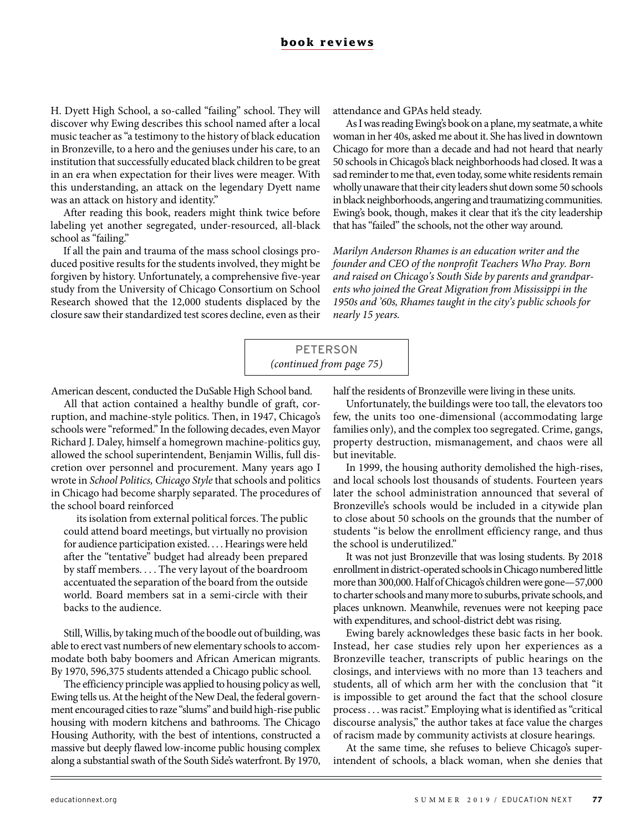H. Dyett High School, a so-called "failing" school. They will discover why Ewing describes this school named after a local music teacher as "a testimony to the history of black education in Bronzeville, to a hero and the geniuses under his care, to an institution that successfully educated black children to be great in an era when expectation for their lives were meager. With this understanding, an attack on the legendary Dyett name was an attack on history and identity."

After reading this book, readers might think twice before labeling yet another segregated, under-resourced, all-black school as "failing."

If all the pain and trauma of the mass school closings produced positive results for the students involved, they might be forgiven by history. Unfortunately, a comprehensive five-year study from the University of Chicago Consortium on School Research showed that the 12,000 students displaced by the closure saw their standardized test scores decline, even as their

attendance and GPAs held steady.

As I was reading Ewing's book on a plane, my seatmate, a white woman in her 40s, asked me about it. She has lived in downtown Chicago for more than a decade and had not heard that nearly 50 schools in Chicago's black neighborhoods had closed. It was a sad reminder to me that, even today, some white residents remain wholly unaware that their city leaders shut down some 50 schools in black neighborhoods, angering and traumatizing communities. Ewing's book, though, makes it clear that it's the city leadership that has "failed" the schools, not the other way around.

*Marilyn Anderson Rhames is an education writer and the founder and CEO of the nonprofit Teachers Who Pray. Born and raised on Chicago's South Side by parents and grandparents who joined the Great Migration from Mississippi in the 1950s and '60s, Rhames taught in the city's public schools for nearly 15 years.* 

PETERSON *(continued from page 75)*

American descent, conducted the DuSable High School band.

All that action contained a healthy bundle of graft, corruption, and machine-style politics. Then, in 1947, Chicago's schools were "reformed." In the following decades, even Mayor Richard J. Daley, himself a homegrown machine-politics guy, allowed the school superintendent, Benjamin Willis, full discretion over personnel and procurement. Many years ago I wrote in *School Politics, Chicago Style* that schools and politics in Chicago had become sharply separated. The procedures of the school board reinforced

its isolation from external political forces. The public could attend board meetings, but virtually no provision for audience participation existed. . . . Hearings were held after the "tentative" budget had already been prepared by staff members. . . . The very layout of the boardroom accentuated the separation of the board from the outside world. Board members sat in a semi-circle with their backs to the audience.

Still, Willis, by taking much of the boodle out of building, was able to erect vast numbers of new elementary schools to accommodate both baby boomers and African American migrants. By 1970, 596,375 students attended a Chicago public school.

The efficiency principle was applied to housing policy as well, Ewing tells us. At the height of the New Deal, the federal government encouraged cities to raze "slums" and build high-rise public housing with modern kitchens and bathrooms. The Chicago Housing Authority, with the best of intentions, constructed a massive but deeply flawed low-income public housing complex along a substantial swath of the South Side's waterfront. By 1970,

half the residents of Bronzeville were living in these units.

Unfortunately, the buildings were too tall, the elevators too few, the units too one-dimensional (accommodating large families only), and the complex too segregated. Crime, gangs, property destruction, mismanagement, and chaos were all but inevitable.

In 1999, the housing authority demolished the high-rises, and local schools lost thousands of students. Fourteen years later the school administration announced that several of Bronzeville's schools would be included in a citywide plan to close about 50 schools on the grounds that the number of students "is below the enrollment efficiency range, and thus the school is underutilized."

It was not just Bronzeville that was losing students. By 2018 enrollment in district-operated schools in Chicago numbered little more than 300,000. Half of Chicago's children were gone—57,000 to charter schools and many more to suburbs, private schools, and places unknown. Meanwhile, revenues were not keeping pace with expenditures, and school-district debt was rising.

Ewing barely acknowledges these basic facts in her book. Instead, her case studies rely upon her experiences as a Bronzeville teacher, transcripts of public hearings on the closings, and interviews with no more than 13 teachers and students, all of which arm her with the conclusion that "it is impossible to get around the fact that the school closure process . . . was racist." Employing what is identified as "critical discourse analysis," the author takes at face value the charges of racism made by community activists at closure hearings.

At the same time, she refuses to believe Chicago's superintendent of schools, a black woman, when she denies that